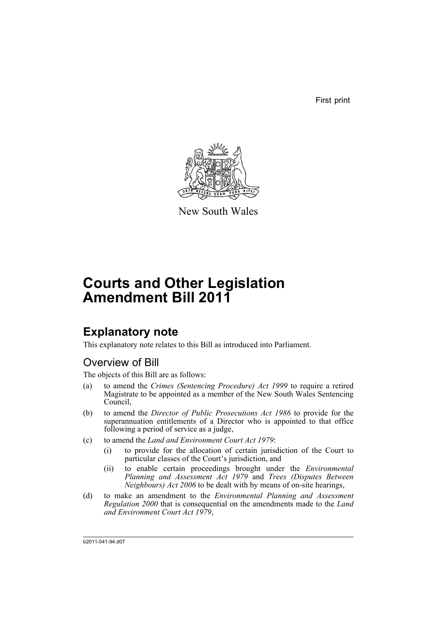First print



New South Wales

# **Courts and Other Legislation Amendment Bill 2011**

## **Explanatory note**

This explanatory note relates to this Bill as introduced into Parliament.

## Overview of Bill

The objects of this Bill are as follows:

- (a) to amend the *Crimes (Sentencing Procedure) Act 1999* to require a retired Magistrate to be appointed as a member of the New South Wales Sentencing Council,
- (b) to amend the *Director of Public Prosecutions Act 1986* to provide for the superannuation entitlements of a Director who is appointed to that office following a period of service as a judge,
- (c) to amend the *Land and Environment Court Act 1979*:
	- (i) to provide for the allocation of certain jurisdiction of the Court to particular classes of the Court's jurisdiction, and
	- (ii) to enable certain proceedings brought under the *Environmental Planning and Assessment Act 1979* and *Trees (Disputes Between Neighbours) Act 2006* to be dealt with by means of on-site hearings,
- (d) to make an amendment to the *Environmental Planning and Assessment Regulation 2000* that is consequential on the amendments made to the *Land and Environment Court Act 1979*,

b2011-041-94.d07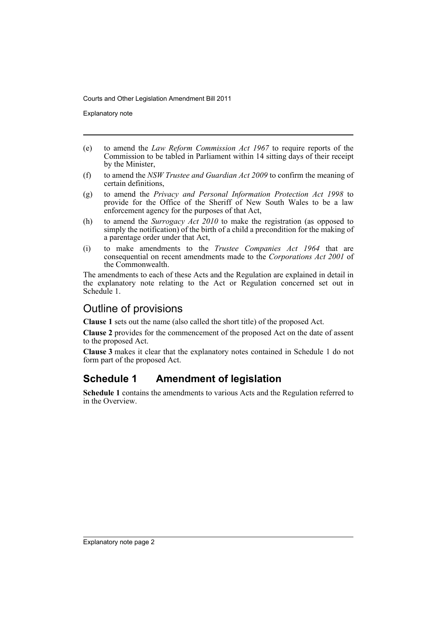Explanatory note

- (e) to amend the *Law Reform Commission Act 1967* to require reports of the Commission to be tabled in Parliament within 14 sitting days of their receipt by the Minister,
- (f) to amend the *NSW Trustee and Guardian Act 2009* to confirm the meaning of certain definitions,
- (g) to amend the *Privacy and Personal Information Protection Act 1998* to provide for the Office of the Sheriff of New South Wales to be a law enforcement agency for the purposes of that Act,
- (h) to amend the *Surrogacy Act 2010* to make the registration (as opposed to simply the notification) of the birth of a child a precondition for the making of a parentage order under that Act,
- (i) to make amendments to the *Trustee Companies Act 1964* that are consequential on recent amendments made to the *Corporations Act 2001* of the Commonwealth.

The amendments to each of these Acts and the Regulation are explained in detail in the explanatory note relating to the Act or Regulation concerned set out in Schedule 1.

### Outline of provisions

**Clause 1** sets out the name (also called the short title) of the proposed Act.

**Clause 2** provides for the commencement of the proposed Act on the date of assent to the proposed Act.

**Clause 3** makes it clear that the explanatory notes contained in Schedule 1 do not form part of the proposed Act.

## **Schedule 1 Amendment of legislation**

**Schedule 1** contains the amendments to various Acts and the Regulation referred to in the Overview.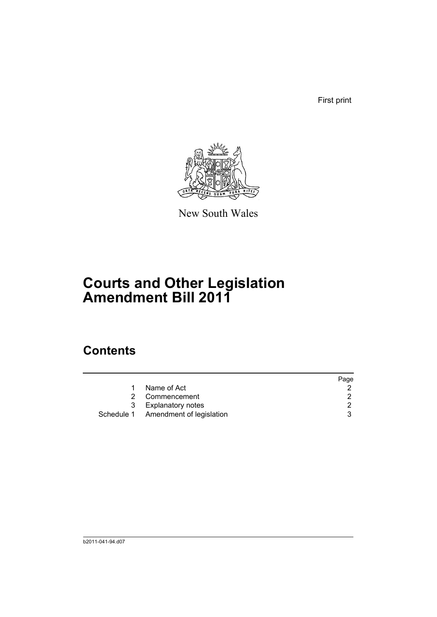First print



New South Wales

# **Courts and Other Legislation Amendment Bill 2011**

## **Contents**

|   |                                     | Page |
|---|-------------------------------------|------|
|   | Name of Act                         |      |
| 2 | Commencement                        | 2    |
| 3 | <b>Explanatory notes</b>            |      |
|   | Schedule 1 Amendment of legislation | ર    |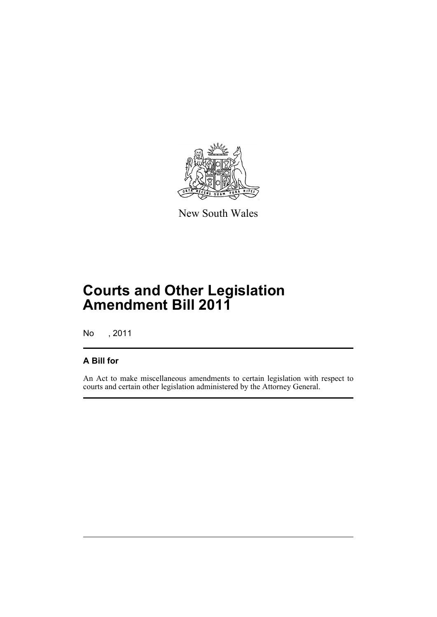

New South Wales

## **Courts and Other Legislation Amendment Bill 2011**

No , 2011

### **A Bill for**

An Act to make miscellaneous amendments to certain legislation with respect to courts and certain other legislation administered by the Attorney General.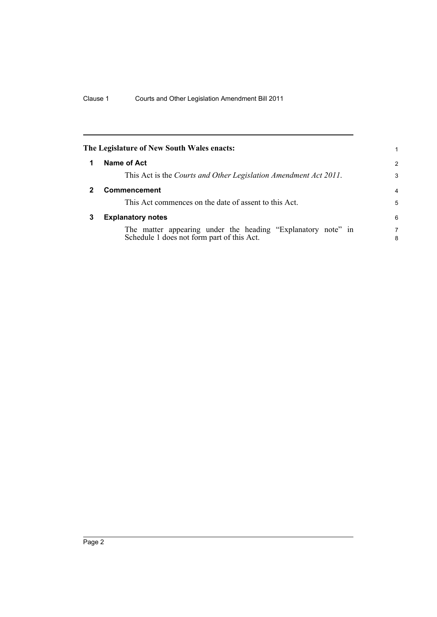<span id="page-5-2"></span><span id="page-5-1"></span><span id="page-5-0"></span>

|              | The Legislature of New South Wales enacts:                                                                 |        |
|--------------|------------------------------------------------------------------------------------------------------------|--------|
|              | Name of Act                                                                                                | 2      |
|              | This Act is the Courts and Other Legislation Amendment Act 2011.                                           | 3      |
| $\mathbf{2}$ | <b>Commencement</b>                                                                                        | 4      |
|              | This Act commences on the date of assent to this Act.                                                      | 5      |
| 3            | <b>Explanatory notes</b>                                                                                   | 6      |
|              | The matter appearing under the heading "Explanatory note" in<br>Schedule 1 does not form part of this Act. | 7<br>8 |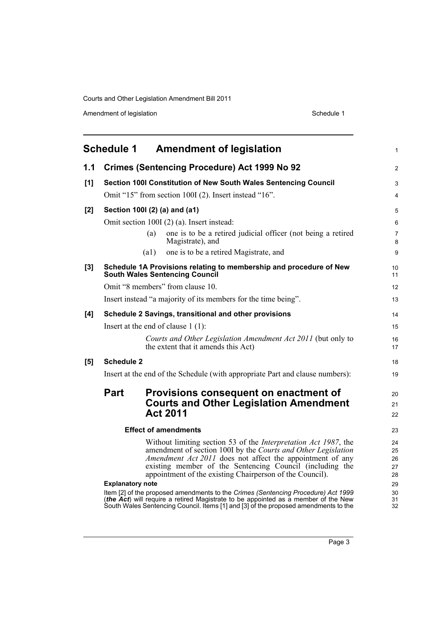Amendment of legislation and the state of the Schedule 1 Schedule 1

<span id="page-6-0"></span>

|       |                                            | Schedule 1 Amendment of legislation                                                                                                                                                                                                                            | $\mathbf{1}$        |  |
|-------|--------------------------------------------|----------------------------------------------------------------------------------------------------------------------------------------------------------------------------------------------------------------------------------------------------------------|---------------------|--|
| 1.1   |                                            | <b>Crimes (Sentencing Procedure) Act 1999 No 92</b>                                                                                                                                                                                                            | 2                   |  |
| [1]   |                                            | Section 100I Constitution of New South Wales Sentencing Council                                                                                                                                                                                                | 3                   |  |
|       |                                            | Omit "15" from section 100I (2). Insert instead "16".                                                                                                                                                                                                          | $\overline{4}$      |  |
| [2]   |                                            | Section 1001 (2) (a) and (a1)                                                                                                                                                                                                                                  | 5                   |  |
|       | Omit section 100I (2) (a). Insert instead: |                                                                                                                                                                                                                                                                |                     |  |
|       |                                            | one is to be a retired judicial officer (not being a retired<br>(a)<br>Magistrate), and                                                                                                                                                                        | $\overline{7}$<br>8 |  |
|       |                                            | one is to be a retired Magistrate, and<br>(a1)                                                                                                                                                                                                                 | 9                   |  |
| $[3]$ |                                            | Schedule 1A Provisions relating to membership and procedure of New<br><b>South Wales Sentencing Council</b>                                                                                                                                                    | 10<br>11            |  |
|       |                                            | Omit "8 members" from clause 10.                                                                                                                                                                                                                               | 12                  |  |
|       |                                            | Insert instead "a majority of its members for the time being".                                                                                                                                                                                                 | 13                  |  |
| [4]   |                                            | Schedule 2 Savings, transitional and other provisions                                                                                                                                                                                                          | 14                  |  |
|       |                                            | Insert at the end of clause $1(1)$ :                                                                                                                                                                                                                           | 15                  |  |
|       |                                            | Courts and Other Legislation Amendment Act 2011 (but only to<br>the extent that it amends this Act)                                                                                                                                                            | 16<br>17            |  |
| [5]   | <b>Schedule 2</b>                          |                                                                                                                                                                                                                                                                | 18                  |  |
|       |                                            | Insert at the end of the Schedule (with appropriate Part and clause numbers):                                                                                                                                                                                  | 19                  |  |
|       | Part                                       | Provisions consequent on enactment of                                                                                                                                                                                                                          | 20                  |  |
|       |                                            | <b>Courts and Other Legislation Amendment</b>                                                                                                                                                                                                                  | 21                  |  |
|       |                                            | <b>Act 2011</b>                                                                                                                                                                                                                                                | 22                  |  |
|       | <b>Effect of amendments</b>                |                                                                                                                                                                                                                                                                |                     |  |
|       |                                            | Without limiting section 53 of the <i>Interpretation Act 1987</i> , the                                                                                                                                                                                        | 24                  |  |
|       |                                            | amendment of section 100I by the Courts and Other Legislation                                                                                                                                                                                                  | 25                  |  |
|       |                                            | Amendment Act 2011 does not affect the appointment of any                                                                                                                                                                                                      | 26                  |  |
|       |                                            | existing member of the Sentencing Council (including the<br>appointment of the existing Chairperson of the Council).                                                                                                                                           | 27<br>28            |  |
|       | <b>Explanatory note</b>                    |                                                                                                                                                                                                                                                                | 29                  |  |
|       |                                            | Item [2] of the proposed amendments to the Crimes (Sentencing Procedure) Act 1999<br>(the Act) will require a retired Magistrate to be appointed as a member of the New<br>South Wales Sentencing Council. Items [1] and [3] of the proposed amendments to the | 30<br>31<br>32      |  |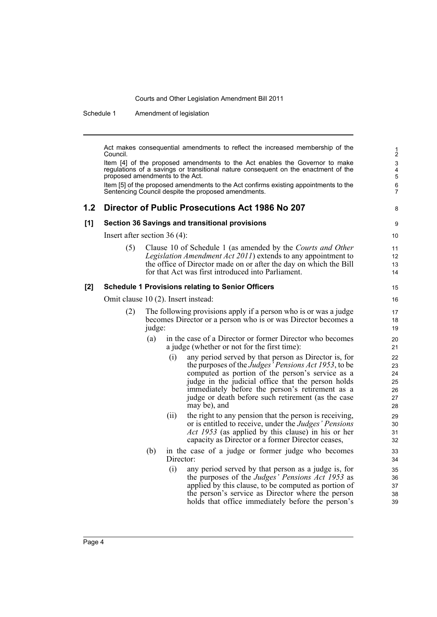Schedule 1 Amendment of legislation

Act makes consequential amendments to reflect the increased membership of the Council. Item [4] of the proposed amendments to the Act enables the Governor to make regulations of a savings or transitional nature consequent on the enactment of the proposed amendments to the Act. Item [5] of the proposed amendments to the Act confirms existing appointments to the Sentencing Council despite the proposed amendments. **1.2 Director of Public Prosecutions Act 1986 No 207 [1] Section 36 Savings and transitional provisions** Insert after section 36 (4): (5) Clause 10 of Schedule 1 (as amended by the *Courts and Other Legislation Amendment Act 2011*) extends to any appointment to the office of Director made on or after the day on which the Bill for that Act was first introduced into Parliament. **[2] Schedule 1 Provisions relating to Senior Officers** Omit clause 10 (2). Insert instead: (2) The following provisions apply if a person who is or was a judge becomes Director or a person who is or was Director becomes a judge: (a) in the case of a Director or former Director who becomes a judge (whether or not for the first time): (i) any period served by that person as Director is, for the purposes of the *Judges' Pensions Act 1953*, to be computed as portion of the person's service as a judge in the judicial office that the person holds immediately before the person's retirement as a judge or death before such retirement (as the case may be), and (ii) the right to any pension that the person is receiving, or is entitled to receive, under the *Judges' Pensions Act 1953* (as applied by this clause) in his or her capacity as Director or a former Director ceases, (b) in the case of a judge or former judge who becomes Director: (i) any period served by that person as a judge is, for the purposes of the *Judges' Pensions Act 1953* as applied by this clause, to be computed as portion of the person's service as Director where the person holds that office immediately before the person's 1 2 3 4 5 6 7 8 9 10 11 12 13 14 15 16 17 18 19 20 21 22 23 24 25 26 27 28 29 30 31 32 33 34 35 36 37 38 39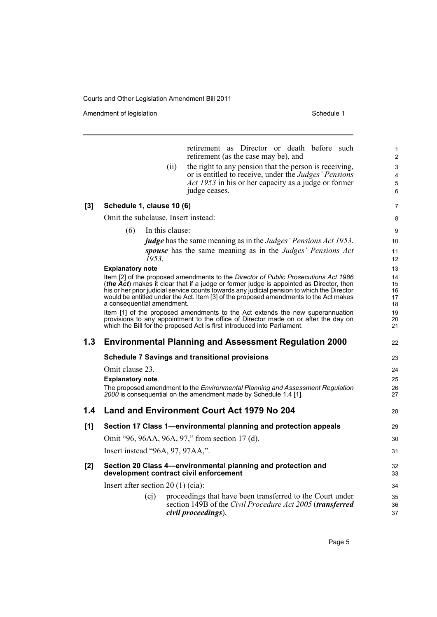Amendment of legislation and the state of the Schedule 1 Schedule 1

|       |                                     |                 | retirement as Director or death before such<br>retirement (as the case may be), and                                                                                                                                                                                                                                                                                    | $\mathbf{1}$<br>$\overline{2}$ |
|-------|-------------------------------------|-----------------|------------------------------------------------------------------------------------------------------------------------------------------------------------------------------------------------------------------------------------------------------------------------------------------------------------------------------------------------------------------------|--------------------------------|
|       |                                     | (ii)            | the right to any pension that the person is receiving,                                                                                                                                                                                                                                                                                                                 | 3                              |
|       |                                     |                 | or is entitled to receive, under the <i>Judges' Pensions</i>                                                                                                                                                                                                                                                                                                           | 4                              |
|       |                                     |                 | Act 1953 in his or her capacity as a judge or former                                                                                                                                                                                                                                                                                                                   | $\mathbf 5$                    |
|       |                                     |                 | judge ceases.                                                                                                                                                                                                                                                                                                                                                          | 6                              |
| [3]   | Schedule 1, clause 10 (6)           |                 |                                                                                                                                                                                                                                                                                                                                                                        | $\overline{7}$                 |
|       | Omit the subclause. Insert instead: |                 |                                                                                                                                                                                                                                                                                                                                                                        | 8                              |
|       | (6)                                 | In this clause: |                                                                                                                                                                                                                                                                                                                                                                        | 9                              |
|       |                                     |                 | <i>judge</i> has the same meaning as in the <i>Judges' Pensions Act 1953</i> .                                                                                                                                                                                                                                                                                         | 10                             |
|       | 1953.                               |                 | spouse has the same meaning as in the Judges' Pensions Act                                                                                                                                                                                                                                                                                                             | 11<br>12                       |
|       | <b>Explanatory note</b>             |                 |                                                                                                                                                                                                                                                                                                                                                                        | 13                             |
|       | a consequential amendment.          |                 | Item [2] of the proposed amendments to the Director of Public Prosecutions Act 1986<br>(the Act) makes it clear that if a judge or former judge is appointed as Director, then<br>his or her prior judicial service counts towards any judicial pension to which the Director<br>would be entitled under the Act. Item [3] of the proposed amendments to the Act makes | 14<br>15<br>16<br>17<br>18     |
|       |                                     |                 | Item [1] of the proposed amendments to the Act extends the new superannuation<br>provisions to any appointment to the office of Director made on or after the day on<br>which the Bill for the proposed Act is first introduced into Parliament.                                                                                                                       | 19<br>20<br>21                 |
| 1.3   |                                     |                 | <b>Environmental Planning and Assessment Regulation 2000</b>                                                                                                                                                                                                                                                                                                           | 22                             |
|       |                                     |                 | <b>Schedule 7 Savings and transitional provisions</b>                                                                                                                                                                                                                                                                                                                  | 23                             |
|       | Omit clause 23.                     |                 |                                                                                                                                                                                                                                                                                                                                                                        | 24                             |
|       | <b>Explanatory note</b>             |                 |                                                                                                                                                                                                                                                                                                                                                                        | 25                             |
|       |                                     |                 | The proposed amendment to the <i>Environmental Planning and Assessment Regulation</i><br>2000 is consequential on the amendment made by Schedule 1.4 [1].                                                                                                                                                                                                              | 26<br>27                       |
| 1.4   |                                     |                 | Land and Environment Court Act 1979 No 204                                                                                                                                                                                                                                                                                                                             | 28                             |
| [1]   |                                     |                 | Section 17 Class 1-environmental planning and protection appeals                                                                                                                                                                                                                                                                                                       | 29                             |
|       |                                     |                 | Omit "96, 96AA, 96A, 97," from section 17 (d).                                                                                                                                                                                                                                                                                                                         | 30                             |
|       | Insert instead "96A, 97, 97AA,".    |                 |                                                                                                                                                                                                                                                                                                                                                                        | 31                             |
| $[2]$ |                                     |                 | Section 20 Class 4-environmental planning and protection and<br>development contract civil enforcement                                                                                                                                                                                                                                                                 | 32<br>33                       |
|       | Insert after section $20(1)$ (cia): |                 |                                                                                                                                                                                                                                                                                                                                                                        | 34                             |
|       | (c <sub>j</sub> )                   |                 | proceedings that have been transferred to the Court under<br>section 149B of the Civil Procedure Act 2005 (transferred<br>civil proceedings),                                                                                                                                                                                                                          | 35<br>36                       |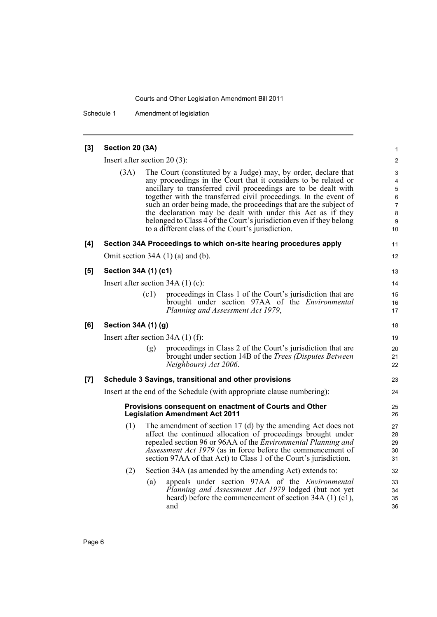Schedule 1 Amendment of legislation

| [3] | Section 20 (3A)      |                                                                                                                                                                                                                                                                                                                                                                                                                                                                                                                                          | $\mathbf{1}$                                                             |
|-----|----------------------|------------------------------------------------------------------------------------------------------------------------------------------------------------------------------------------------------------------------------------------------------------------------------------------------------------------------------------------------------------------------------------------------------------------------------------------------------------------------------------------------------------------------------------------|--------------------------------------------------------------------------|
|     |                      | Insert after section $20(3)$ :                                                                                                                                                                                                                                                                                                                                                                                                                                                                                                           | $\overline{2}$                                                           |
|     | (3A)                 | The Court (constituted by a Judge) may, by order, declare that<br>any proceedings in the Court that it considers to be related or<br>ancillary to transferred civil proceedings are to be dealt with<br>together with the transferred civil proceedings. In the event of<br>such an order being made, the proceedings that are the subject of<br>the declaration may be dealt with under this Act as if they<br>belonged to Class 4 of the Court's jurisdiction even if they belong<br>to a different class of the Court's jurisdiction. | 3<br>$\overline{\mathbf{4}}$<br>5<br>6<br>$\overline{7}$<br>8<br>9<br>10 |
| [4] |                      | Section 34A Proceedings to which on-site hearing procedures apply                                                                                                                                                                                                                                                                                                                                                                                                                                                                        | 11                                                                       |
|     |                      | Omit section $34A(1)(a)$ and (b).                                                                                                                                                                                                                                                                                                                                                                                                                                                                                                        | 12                                                                       |
| [5] | Section 34A (1) (c1) |                                                                                                                                                                                                                                                                                                                                                                                                                                                                                                                                          | 13                                                                       |
|     |                      | Insert after section $34A(1)(c)$ :                                                                                                                                                                                                                                                                                                                                                                                                                                                                                                       | 14                                                                       |
|     |                      | (c1)<br>proceedings in Class 1 of the Court's jurisdiction that are<br>brought under section 97AA of the <i>Environmental</i><br>Planning and Assessment Act 1979,                                                                                                                                                                                                                                                                                                                                                                       | 15<br>16<br>17                                                           |
| [6] | Section 34A (1) (g)  |                                                                                                                                                                                                                                                                                                                                                                                                                                                                                                                                          | 18                                                                       |
|     |                      | Insert after section $34A(1)$ (f):                                                                                                                                                                                                                                                                                                                                                                                                                                                                                                       | 19                                                                       |
|     |                      | proceedings in Class 2 of the Court's jurisdiction that are<br>(g)<br>brought under section 14B of the <i>Trees (Disputes Between</i> )<br>Neighbours) Act 2006.                                                                                                                                                                                                                                                                                                                                                                         | 20<br>21<br>22                                                           |
| [7] |                      | Schedule 3 Savings, transitional and other provisions                                                                                                                                                                                                                                                                                                                                                                                                                                                                                    | 23                                                                       |
|     |                      | Insert at the end of the Schedule (with appropriate clause numbering):                                                                                                                                                                                                                                                                                                                                                                                                                                                                   | 24                                                                       |
|     |                      | Provisions consequent on enactment of Courts and Other<br><b>Legislation Amendment Act 2011</b>                                                                                                                                                                                                                                                                                                                                                                                                                                          | 25<br>26                                                                 |
|     | (1)                  | The amendment of section $17$ (d) by the amending Act does not<br>affect the continued allocation of proceedings brought under<br>repealed section 96 or 96AA of the <i>Environmental Planning and</i><br>Assessment Act 1979 (as in force before the commencement of<br>section 97AA of that Act) to Class 1 of the Court's jurisdiction.                                                                                                                                                                                               | 27<br>28<br>29<br>30<br>31                                               |
|     | (2)                  | Section 34A (as amended by the amending Act) extends to:                                                                                                                                                                                                                                                                                                                                                                                                                                                                                 | 32                                                                       |
|     |                      | appeals under section 97AA of the <i>Environmental</i><br>(a)<br>Planning and Assessment Act 1979 lodged (but not yet<br>heard) before the commencement of section $34A(1)(c1)$ ,<br>and                                                                                                                                                                                                                                                                                                                                                 | 33<br>34<br>35<br>36                                                     |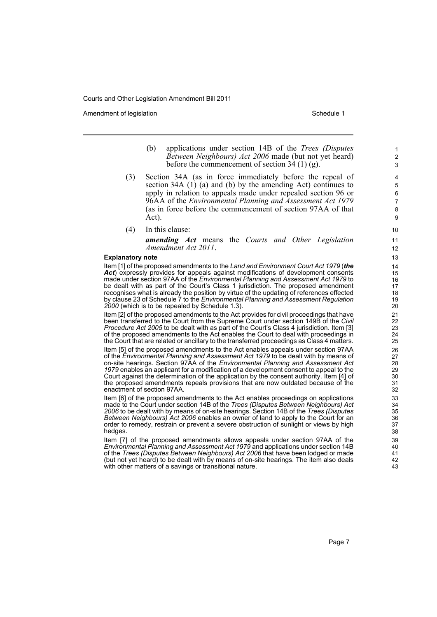Amendment of legislation New York 1999 and the Schedule 1 Amendment of legislation Schedule 1

- (b) applications under section 14B of the *Trees (Disputes Between Neighbours) Act 2006* made (but not yet heard) before the commencement of section  $34(1)(g)$ .
- (3) Section 34A (as in force immediately before the repeal of section 34A (1) (a) and (b) by the amending Act) continues to apply in relation to appeals made under repealed section 96 or 96AA of the *Environmental Planning and Assessment Act 1979* (as in force before the commencement of section 97AA of that Act).
- (4) In this clause:

*amending Act* means the *Courts and Other Legislation Amendment Act 2011*.

#### **Explanatory note**

Item [1] of the proposed amendments to the *Land and Environment Court Act 1979* (*the Act*) expressly provides for appeals against modifications of development consents made under section 97AA of the *Environmental Planning and Assessment Act 1979* to be dealt with as part of the Court's Class 1 jurisdiction. The proposed amendment recognises what is already the position by virtue of the updating of references effected by clause 23 of Schedule 7 to the *Environmental Planning and Assessment Regulation 2000* (which is to be repealed by Schedule 1.3).

Item [2] of the proposed amendments to the Act provides for civil proceedings that have been transferred to the Court from the Supreme Court under section 149B of the *Civil Procedure Act 2005* to be dealt with as part of the Court's Class 4 jurisdiction. Item [3] of the proposed amendments to the Act enables the Court to deal with proceedings in the Court that are related or ancillary to the transferred proceedings as Class 4 matters.

Item [5] of the proposed amendments to the Act enables appeals under section 97AA of the *Environmental Planning and Assessment Act 1979* to be dealt with by means of on-site hearings. Section 97AA of the *Environmental Planning and Assessment Act 1979* enables an applicant for a modification of a development consent to appeal to the Court against the determination of the application by the consent authority. Item [4] of the proposed amendments repeals provisions that are now outdated because of the enactment of section 97AA.

Item [6] of the proposed amendments to the Act enables proceedings on applications made to the Court under section 14B of the *Trees (Disputes Between Neighbours) Act 2006* to be dealt with by means of on-site hearings. Section 14B of the *Trees (Disputes Between Neighbours) Act 2006* enables an owner of land to apply to the Court for an order to remedy, restrain or prevent a severe obstruction of sunlight or views by high hedges.

Item [7] of the proposed amendments allows appeals under section 97AA of the *Environmental Planning and Assessment Act 1979* and applications under section 14B of the *Trees (Disputes Between Neighbours) Act 2006* that have been lodged or made (but not yet heard) to be dealt with by means of on-site hearings. The item also deals with other matters of a savings or transitional nature.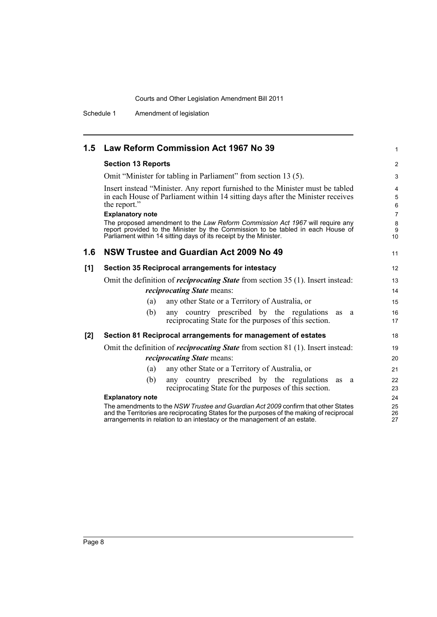Schedule 1 Amendment of legislation

| 1.5 | Law Reform Commission Act 1967 No 39                                                                                                                                                                                                                             | $\mathbf{1}$                                      |  |  |
|-----|------------------------------------------------------------------------------------------------------------------------------------------------------------------------------------------------------------------------------------------------------------------|---------------------------------------------------|--|--|
|     | <b>Section 13 Reports</b>                                                                                                                                                                                                                                        | $\overline{2}$                                    |  |  |
|     | Omit "Minister for tabling in Parliament" from section 13 (5).                                                                                                                                                                                                   | 3                                                 |  |  |
|     | Insert instead "Minister. Any report furnished to the Minister must be tabled<br>in each House of Parliament within 14 sitting days after the Minister receives<br>the report."                                                                                  |                                                   |  |  |
|     | <b>Explanatory note</b><br>The proposed amendment to the Law Reform Commission Act 1967 will require any<br>report provided to the Minister by the Commission to be tabled in each House of<br>Parliament within 14 sitting days of its receipt by the Minister. | $\overline{7}$<br>$\bf 8$<br>9<br>10 <sup>1</sup> |  |  |
| 1.6 | <b>NSW Trustee and Guardian Act 2009 No 49</b>                                                                                                                                                                                                                   | 11                                                |  |  |
| [1] | Section 35 Reciprocal arrangements for intestacy                                                                                                                                                                                                                 | 12                                                |  |  |
|     | Omit the definition of <i>reciprocating State</i> from section 35 (1). Insert instead:<br><i>reciprocating State means:</i>                                                                                                                                      | 13<br>14                                          |  |  |
|     | any other State or a Territory of Australia, or<br>(a)                                                                                                                                                                                                           | 15                                                |  |  |
|     | any country prescribed by the regulations<br>(b)<br>as<br>a<br>reciprocating State for the purposes of this section.                                                                                                                                             | 16<br>17                                          |  |  |
| [2] | Section 81 Reciprocal arrangements for management of estates                                                                                                                                                                                                     | 18                                                |  |  |
|     | Omit the definition of <i>reciprocating State</i> from section 81 (1). Insert instead:                                                                                                                                                                           | 19                                                |  |  |
|     | <i>reciprocating State means:</i>                                                                                                                                                                                                                                | 20                                                |  |  |
|     | any other State or a Territory of Australia, or<br>(a)                                                                                                                                                                                                           | 21                                                |  |  |
|     | any country prescribed by the regulations<br>(b)<br>as<br>a<br>reciprocating State for the purposes of this section.                                                                                                                                             | 22<br>23                                          |  |  |
|     | <b>Explanatory note</b>                                                                                                                                                                                                                                          | 24                                                |  |  |
|     | The amendments to the NSW Trustee and Guardian Act 2009 confirm that other States<br>and the Territories are reciprocating States for the purposes of the making of reciprocal<br>arrangements in relation to an intestacy or the management of an estate.       | 25<br>26<br>27                                    |  |  |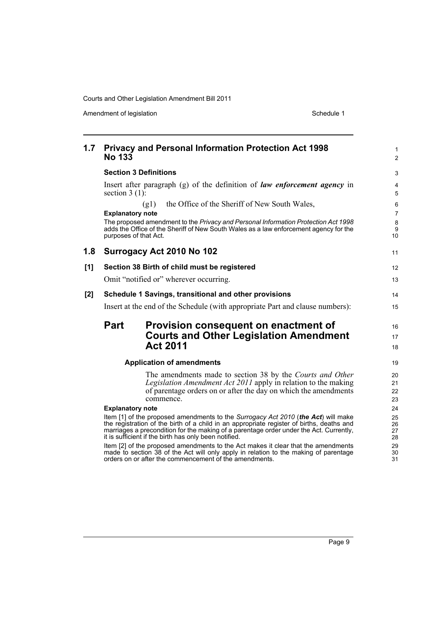Amendment of legislation and the state of the Schedule 1 Schedule 1

| 1.7   | <b>Privacy and Personal Information Protection Act 1998</b><br><b>No 133</b>                                                                                                                                                                                                                                                                                                                                                                                                                                                                                             | $\mathbf{1}$<br>$\overline{2}$         |
|-------|--------------------------------------------------------------------------------------------------------------------------------------------------------------------------------------------------------------------------------------------------------------------------------------------------------------------------------------------------------------------------------------------------------------------------------------------------------------------------------------------------------------------------------------------------------------------------|----------------------------------------|
|       | <b>Section 3 Definitions</b>                                                                                                                                                                                                                                                                                                                                                                                                                                                                                                                                             | 3                                      |
|       | Insert after paragraph $(g)$ of the definition of <i>law enforcement agency</i> in<br>section $3(1)$ :                                                                                                                                                                                                                                                                                                                                                                                                                                                                   | $\overline{4}$<br>$\sqrt{5}$           |
|       | the Office of the Sheriff of New South Wales,<br>(g1)                                                                                                                                                                                                                                                                                                                                                                                                                                                                                                                    | 6                                      |
|       | <b>Explanatory note</b>                                                                                                                                                                                                                                                                                                                                                                                                                                                                                                                                                  | $\overline{7}$                         |
|       | The proposed amendment to the Privacy and Personal Information Protection Act 1998<br>adds the Office of the Sheriff of New South Wales as a law enforcement agency for the<br>purposes of that Act.                                                                                                                                                                                                                                                                                                                                                                     | 8<br>$\boldsymbol{9}$<br>10            |
| 1.8   | Surrogacy Act 2010 No 102                                                                                                                                                                                                                                                                                                                                                                                                                                                                                                                                                | 11                                     |
| [1]   | Section 38 Birth of child must be registered                                                                                                                                                                                                                                                                                                                                                                                                                                                                                                                             | $12 \overline{ }$                      |
|       | Omit "notified or" wherever occurring.                                                                                                                                                                                                                                                                                                                                                                                                                                                                                                                                   | 13                                     |
| $[2]$ | Schedule 1 Savings, transitional and other provisions                                                                                                                                                                                                                                                                                                                                                                                                                                                                                                                    | 14                                     |
|       | Insert at the end of the Schedule (with appropriate Part and clause numbers):                                                                                                                                                                                                                                                                                                                                                                                                                                                                                            | 15                                     |
|       | <b>Part</b><br>Provision consequent on enactment of<br><b>Courts and Other Legislation Amendment</b><br><b>Act 2011</b>                                                                                                                                                                                                                                                                                                                                                                                                                                                  | 16<br>17<br>18                         |
|       | <b>Application of amendments</b>                                                                                                                                                                                                                                                                                                                                                                                                                                                                                                                                         | 19                                     |
|       | The amendments made to section 38 by the Courts and Other<br>Legislation Amendment Act 2011 apply in relation to the making<br>of parentage orders on or after the day on which the amendments<br>commence.<br><b>Explanatory note</b>                                                                                                                                                                                                                                                                                                                                   | 20<br>21<br>22<br>23<br>24             |
|       | Item [1] of the proposed amendments to the Surrogacy Act 2010 (the Act) will make<br>the registration of the birth of a child in an appropriate register of births, deaths and<br>marriages a precondition for the making of a parentage order under the Act. Currently,<br>it is sufficient if the birth has only been notified.<br>Item [2] of the proposed amendments to the Act makes it clear that the amendments<br>made to section 38 of the Act will only apply in relation to the making of parentage<br>orders on or after the commencement of the amendments. | 25<br>26<br>27<br>28<br>29<br>30<br>31 |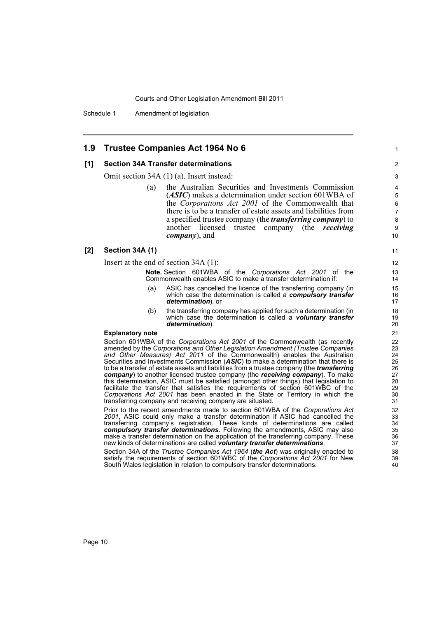Schedule 1 Amendment of legislation

### **1.9 Trustee Companies Act 1964 No 6**

#### **[1] Section 34A Transfer determinations**

Omit section 34A (1) (a). Insert instead:

(a) the Australian Securities and Investments Commission (*ASIC*) makes a determination under section 601WBA of the *Corporations Act 2001* of the Commonwealth that there is to be a transfer of estate assets and liabilities from a specified trustee company (the *transferring company*) to another licensed trustee company (the *receiving company*), and

1

#### **[2] Section 34A (1)**

Insert at the end of section 34A (1):

**Note.** Section 601WBA of the *Corporations Act 2001* of the Commonwealth enables ASIC to make a transfer determination if:

- (a) ASIC has cancelled the licence of the transferring company (in which case the determination is called a *compulsory transfer determination*), or
- (b) the transferring company has applied for such a determination (in which case the determination is called a *voluntary transfer determination*).

### **Explanatory note**

Section 601WBA of the *Corporations Act 2001* of the Commonwealth (as recently amended by the *Corporations and Other Legislation Amendment (Trustee Companies and Other Measures) Act 2011* of the Commonwealth) enables the Australian Securities and Investments Commission (*ASIC*) to make a determination that there is to be a transfer of estate assets and liabilities from a trustee company (the *transferring company*) to another licensed trustee company (the *receiving company*). To make this determination, ASIC must be satisfied (amongst other things) that legislation to facilitate the transfer that satisfies the requirements of section 601WBC of the *Corporations Act 2001* has been enacted in the State or Territory in which the transferring company and receiving company are situated.

Prior to the recent amendments made to section 601WBA of the *Corporations Act 2001*, ASIC could only make a transfer determination if ASIC had cancelled the transferring company's registration. These kinds of determinations are called *compulsory transfer determinations*. Following the amendments, ASIC may also make a transfer determination on the application of the transferring company. These new kinds of determinations are called *voluntary transfer determinations*.

Section 34A of the *Trustee Companies Act 1964* (*the Act*) was originally enacted to satisfy the requirements of section 601WBC of the *Corporations Act 2001* for New South Wales legislation in relation to compulsory transfer determinations.